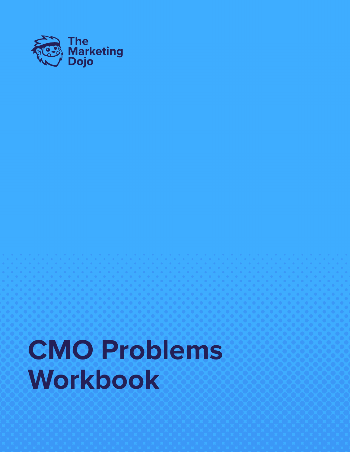

# **CMO Problems Workbook**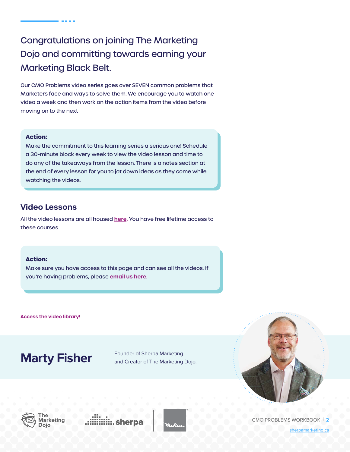## Congratulations on joining The Marketing Dojo and committing towards earning your Marketing Black Belt.

**CONTRACTOR** 

Our CMO Problems video series goes over SEVEN common problems that Marketers face and ways to solve them. We encourage you to watch one video a week and then work on the action items from the video before moving on to the next

#### **Action:**

Make the commitment to this learning series a serious one! Schedule a 30-minute block every week to view the video lesson and time to do any of the takeaways from the lesson. There is a notes section at the end of every lesson for you to jot down ideas as they come while watching the videos.

#### **Video Lessons**

All the video lessons are all housed **[here](https://www.sherpamarketing.ca/dojo/the-problems).** You have free lifetime access to these courses.

#### **Action:**

Make sure you have access to this page and can see all the videos. If you're having problems, please **[email us here](mailto:mfisher%40sherpamarketing.ca?subject=)**.

**[Access the video library!](https://www.sherpamarketing.ca/dojo/the-problems)**

## **Marty Fisher** Founder of Sherpa Marketing

and Creator of The Marketing Dojo.









CMO PROBLEMS WORKBOOK | **2**

[sherpamarketing.ca](https://www.sherpamarketing.ca/)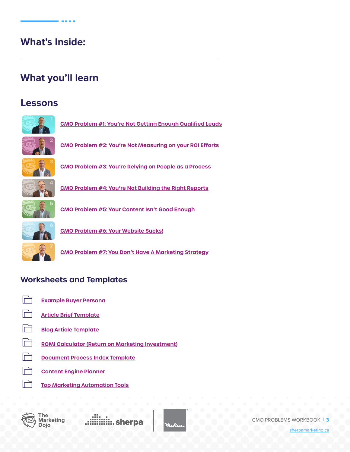## **What's Inside:**

**ALCOHOL:** 

## **What you'll learn**

## **Lessons**



**[CMO Problem #1: You're Not Getting Enough Qualified Leads](#page-4-0)**



**[CMO Problem #2: You're Not Measuring on your ROI Efforts](#page-11-0)**



**[CMO Problem #3: You're Relying on People as a Process](#page-14-0)**



**[CMO Problem #4: You're Not Building the Right Reports](#page-18-0)**



**[CMO Problem #5: Your Content Isn't Good Enough](#page-23-0)**



**[CMO Problem #6: Your Website Sucks!](#page-27-0)**

**[CMO Problem #7: You Don't Have A Marketing Strategy](#page-34-0)**

## **Worksheets and Templates**

- lظ
	- **[Example Buyer Persona](#page-40-0)**
- M **[Article Brief Template](#page-41-0)**
- m **[Blog Article Template](#page-42-0)**
- $\Box$ **[ROMI Calculator \(Return on Marketing Investment\)](https://docs.google.com/spreadsheets/d/1WahKRVTO4K2y5wZEJTel3HInnZm3MNLxlkN4kyKI4k0/edit#gid=0)**
- $\Box$ **[Document Process Index Template](https://docs.google.com/spreadsheets/d/1s5fxGnf76AX7tprGENKQG8vWZLaFdWu1JRJQjnQOm5A/edit#gid=0)**
	- **[Content Engine Planner](https://sherpa2020.blob.core.windows.net/documents/dojo-workbooks/ContentEnginePlanner.pdf)**
- lظ **[Top Marketing Automation Tools](https://sherpa2020.blob.core.windows.net/documents/dojo-workbooks/TopMarketingAutomationTools.pdf)**



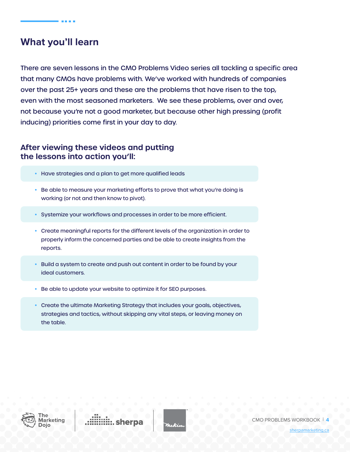## **What you'll learn**

There are seven lessons in the CMO Problems Video series all tackling a specific area that many CMOs have problems with. We've worked with hundreds of companies over the past 25+ years and these are the problems that have risen to the top, even with the most seasoned marketers. We see these problems, over and over, not because you're not a good marketer, but because other high pressing (profit inducing) priorities come first in your day to day.

### **After viewing these videos and putting the lessons into action you'll:**

- Have strategies and a plan to get more qualified leads
- Be able to measure your marketing efforts to prove that what you're doing is working (or not and then know to pivot).
- Systemize your workflows and processes in order to be more efficient.
- Create meaningful reports for the different levels of the organization in order to properly inform the concerned parties and be able to create insights from the reports.
- Build a system to create and push out content in order to be found by your ideal customers.
- Be able to update your website to optimize it for SEO purposes.
- Create the ultimate Marketing Strategy that includes your goals, objectives, strategies and tactics, without skipping any vital steps, or leaving money on the table.



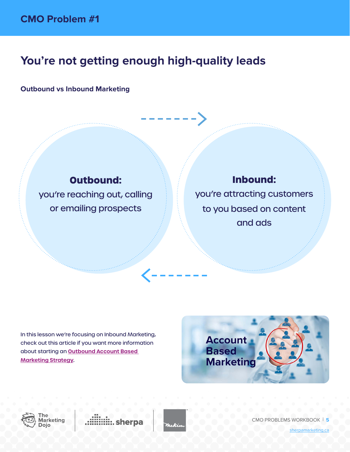## <span id="page-4-0"></span>**You're not getting enough high-quality leads**

### **Outbound vs Inbound Marketing**

## **Outbound:**

you're reaching out, calling or emailing prospects

## **Inbound:**

you're attracting customers to you based on content and ads

In this lesson we're focusing on Inbound Marketing, check out this article if you want more information about starting an **[Outbound Account Based](https://www.sherpamarketing.ca/blogs/what-is-account-based-marketing-and-how-do-i-create-an-abm-strategy-616)  [Marketing Strategy](https://www.sherpamarketing.ca/blogs/what-is-account-based-marketing-and-how-do-i-create-an-abm-strategy-616).**







CMO PROBLEMS WORKBOOK | **5**

[sherpamarketing.ca](https://www.sherpamarketing.ca/)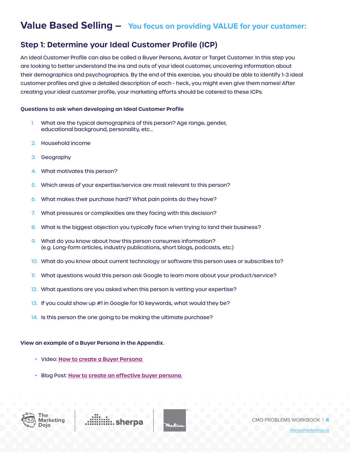## Value Based Selling - You focus on providing VALUE for your customer:

### **Step 1: Determine your Ideal Customer Profile (ICP)**

An Ideal Customer Profile can also be called a Buyer Persona, Avatar or Target Customer. In this step you are looking to better understand the ins and outs of your ideal customer, uncovering information about their demographics and psychographics. By the end of this exercise, you should be able to identify 1-3 ideal customer profiles and give a detailed description of each - heck, you might even give them names! After creating your ideal customer profile, your marketing efforts should be catered to these ICPs.

#### **Questions to ask when developing an Ideal Customer Profile**

- 1. What are the typical demographics of this person? Age range, gender, educational background, personality, etc…
- 2. Household income
- 3. Geography
- 4. What motivates this person?
- 5. Which areas of your expertise/service are most relevant to this person?
- 6. What makes their purchase hard? What pain points do they have?
- 7. What pressures or complexities are they facing with this decision?
- 8. What is the biggest objection you typically face when trying to land their business?
- 9. What do you know about how this person consumes information? (e.g. Long-form articles, industry publications, short blogs, podcasts, etc.)
- 10. What do you know about current technology or software this person uses or subscribes to?
- 11. What questions would this person ask Google to learn more about your product/service?
- 12. What questions are you asked when this person is vetting your expertise?
- 13. If you could show up #1 in Google for 10 keywords, what would they be?
- 14. Is this person the one going to be making the ultimate purchase?

#### **View an example of a Buyer Persona in the Appendix.**

- Video: **[How to create a Buyer Persona](https://youtu.be/suIPrWjP2Zc)**
- Blog Post: **[How to create an effective buyer persona](https://www.sherpamarketing.ca/how-to-create-an-effective-buyer-persona-618)**



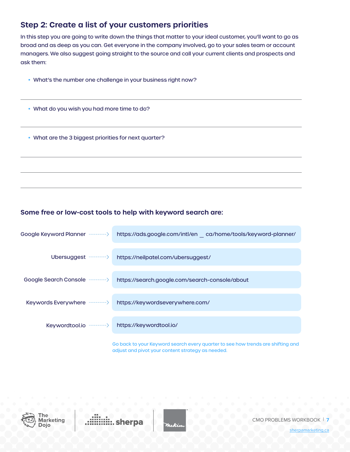### **Step 2: Create a list of your customers priorities**

In this step you are going to write down the things that matter to your ideal customer, you'll want to go as broad and as deep as you can. Get everyone in the company involved, go to your sales team or account managers. We also suggest going straight to the source and call your current clients and prospects and ask them:

- What's the number one challenge in your business right now?
- What do you wish you had more time to do?
- What are the 3 biggest priorities for next quarter?

#### **Some free or low-cost tools to help with keyword search are:**



adjust and pivot your content strategy as needed.





CMO PROBLEMS WORKBOOK | **7**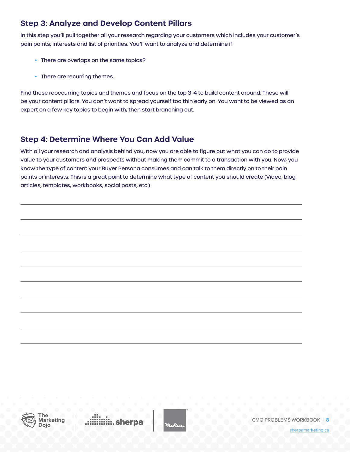## **Step 3: Analyze and Develop Content Pillars**

In this step you'll pull together all your research regarding your customers which includes your customer's pain points, interests and list of priorities. You'll want to analyze and determine if:

- There are overlaps on the same topics?
- There are recurring themes.

Find these reoccurring topics and themes and focus on the top 3-4 to build content around. These will be your content pillars. You don't want to spread yourself too thin early on. You want to be viewed as an expert on a few key topics to begin with, then start branching out.

## **Step 4: Determine Where You Can Add Value**

With all your research and analysis behind you, now you are able to figure out what you can do to provide value to your customers and prospects without making them commit to a transaction with you. Now, you know the type of content your Buyer Persona consumes and can talk to them directly on to their pain points or interests. This is a great point to determine what type of content you should create (Video, blog articles, templates, workbooks, social posts, etc.)



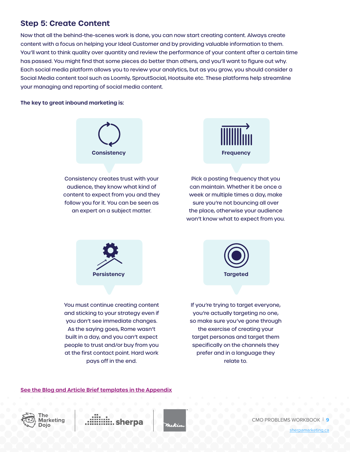### **Step 5: Create Content**

Now that all the behind-the-scenes work is done, you can now start creating content. Always create content with a focus on helping your Ideal Customer and by providing valuable information to them. You'll want to think quality over quantity and review the performance of your content after a certain time has passed. You might find that some pieces do better than others, and you'll want to figure out why. Each social media platform allows you to review your analytics, but as you grow, you should consider a Social Media content tool such as Loomly, SproutSocial, Hootsuite etc. These platforms help streamline your managing and reporting of social media content.

#### **The key to great inbound marketing is:**



Consistency creates trust with your audience, they know what kind of content to expect from you and they follow you for it. You can be seen as an expert on a subject matter.



Pick a posting frequency that you can maintain. Whether it be once a week or multiple times a day, make sure you're not bouncing all over the place, otherwise your audience won't know what to expect from you.



You must continue creating content and sticking to your strategy even if you don't see immediate changes. As the saying goes, Rome wasn't built in a day, and you can't expect people to trust and/or buy from you at the first contact point. Hard work pays off in the end.



If you're trying to target everyone, you're actually targeting no one, so make sure you've gone through the exercise of creating your target personas and target them specifically on the channels they prefer and in a language they relate to.

#### **[See the Blog and Article Brief templates in the Appendix](#page-42-0)**





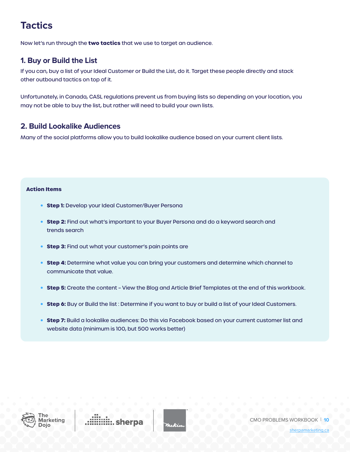## **Tactics**

Now let's run through the **two tactics** that we use to target an audience.

### **1. Buy or Build the List**

If you can, buy a list of your Ideal Customer or Build the List, do it. Target these people directly and stack other outbound tactics on top of it.

Unfortunately, in Canada, CASL regulations prevent us from buying lists so depending on your location, you may not be able to buy the list, but rather will need to build your own lists.

#### **2. Build Lookalike Audiences**

Many of the social platforms allow you to build lookalike audience based on your current client lists.

#### **Action Items**

- **• Step 1:** Develop your Ideal Customer/Buyer Persona
- **• Step 2:** Find out what's important to your Buyer Persona and do a keyword search and trends search
- **• Step 3:** Find out what your customer's pain points are
- **• Step 4:** Determine what value you can bring your customers and determine which channel to communicate that value.
- **• Step 5:** Create the content View the Blog and Article Brief Templates at the end of this workbook.
- **• Step 6:** Buy or Build the list : Determine if you want to buy or build a list of your Ideal Customers.
- **• Step 7:** Build a lookalike audiences: Do this via Facebook based on your current customer list and website data (minimum is 100, but 500 works better)



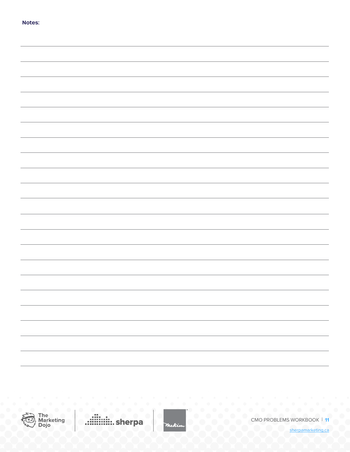| of the<br>٠<br>۰.<br>۰.<br>۰<br>×<br>× |  |
|----------------------------------------|--|
|                                        |  |

| $\overline{\phantom{0}}$ |
|--------------------------|
|                          |
|                          |
|                          |
|                          |
|                          |
|                          |
|                          |
|                          |
|                          |



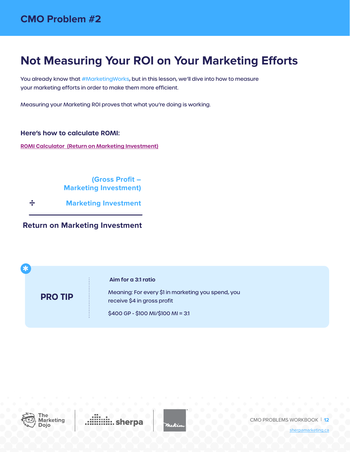## <span id="page-11-0"></span>**Not Measuring Your ROI on Your Marketing Efforts**

You already know that #MarketingWorks, but in this lesson, we'll dive into how to measure your marketing efforts in order to make them more efficient.

Measuring your Marketing ROI proves that what you're doing is working.

**Here's how to calculate ROMI:** 

**[ROMI Calculator \(Return on Marketing Investment\)](https://docs.google.com/spreadsheets/d/1WahKRVTO4K2y5wZEJTel3HInnZm3MNLxlkN4kyKI4k0/edit#gid=0)**

**(Gross Profit – Marketing Investment)**

÷ **Marketing Investment**

**Return on Marketing Investment**

 **Aim for a 3:1 ratio** Meaning: For every \$1 in marketing you spend, you receive \$4 in gross profit **PRO TIP**

\$400 GP - \$100 MI/\$100 MI = 3:1



**\***

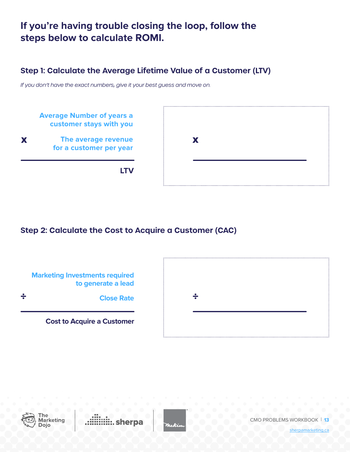## **If you're having trouble closing the loop, follow the steps below to calculate ROMI.**

## **Step 1: Calculate the Average Lifetime Value of a Customer (LTV)**

*If you don't have the exact numbers, give it your best guess and move on.* 



## **Step 2: Calculate the Cost to Acquire a Customer (CAC)**





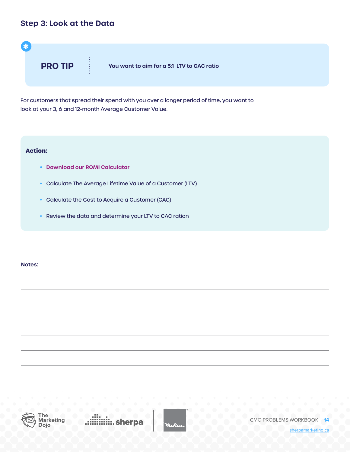### **Step 3: Look at the Data**



For customers that spread their spend with you over a longer period of time, you want to look at your 3, 6 and 12-month Average Customer Value.

#### **Action:**

- **• [Download our ROMI Calculator](https://docs.google.com/spreadsheets/d/1WahKRVTO4K2y5wZEJTel3HInnZm3MNLxlkN4kyKI4k0/edit#gid=0  )**
- Calculate The Average Lifetime Value of a Customer (LTV)
- Calculate the Cost to Acquire a Customer (CAC)
- Review the data and determine your LTV to CAC ration

#### **Notes:**



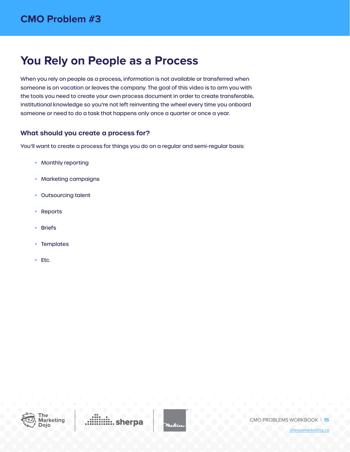## <span id="page-14-0"></span>**You Rely on People as a Process**

When you rely on people as a process, information is not available or transferred when someone is on vacation or leaves the company. The goal of this video is to arm you with the tools you need to create your own process document in order to create transferable, institutional knowledge so you're not left reinventing the wheel every time you onboard someone or need to do a task that happens only once a quarter or once a year.

#### **What should you create a process for?**

You'll want to create a process for things you do on a regular and semi-regular basis:

- Monthly reporting
- Marketing campaigns
- Outsourcing talent
- Reports
- Briefs
- Templates
- Etc.



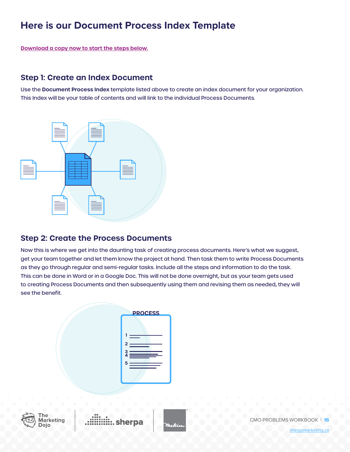## **Here is our Document Process Index Template**

**[Download a copy now to start the steps below.](https://docs.google.com/spreadsheets/d/1s5fxGnf76AX7tprGENKQG8vWZLaFdWu1JRJQjnQOm5A/edit#gid=0)**

### **Step 1: Create an Index Document**

Use the **Document Process Index** template listed above to create an index document for your organization. This Index will be your table of contents and will link to the individual Process Documents.



### **Step 2: Create the Process Documents**

Now this is where we get into the daunting task of creating process documents. Here's what we suggest, get your team together and let them know the project at hand. Then task them to write Process Documents as they go through regular and semi-regular tasks. Include all the steps and information to do the task. This can be done in Word or in a Google Doc. This will not be done overnight, but as your team gets used to creating Process Documents and then subsequently using them and revising them as needed, they will see the benefit.





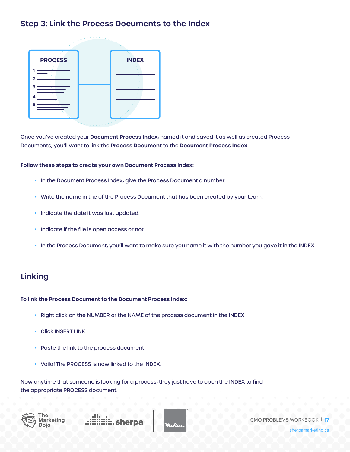### **Step 3: Link the Process Documents to the Index**



Once you've created your **Document Process Index**, named it and saved it as well as created Process Documents, you'll want to link the **Process Document** to the **Document Process Index**.

#### **Follow these steps to create your own Document Process Index:**

- In the Document Process Index, give the Process Document a number.
- Write the name in the of the Process Document that has been created by your team.
- Indicate the date it was last updated.
- Indicate if the file is open access or not.
- In the Process Document, you'll want to make sure you name it with the number you gave it in the INDEX.

#### **Linking**

#### **To link the Process Document to the Document Process Index:**

- Right click on the NUMBER or the NAME of the process document in the INDEX
- Click INSERT LINK.
- Paste the link to the process document.
- Voila! The PROCESS is now linked to the INDEX.

Now anytime that someone is looking for a process, they just have to open the INDEX to find the appropriate PROCESS document.







CMO PROBLEMS WORKBOOK | **17**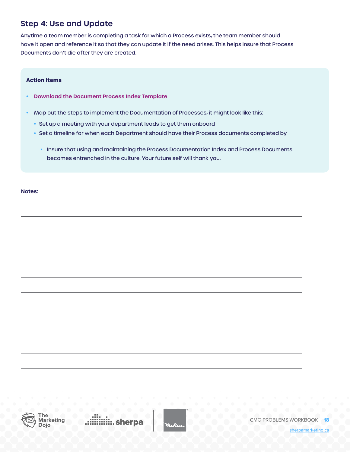### **Step 4: Use and Update**

Anytime a team member is completing a task for which a Process exists, the team member should have it open and reference it so that they can update it if the need arises. This helps insure that Process Documents don't die after they are created.

#### **Action Items**

- **• [Download the Document Process Index Template](https://docs.google.com/spreadsheets/d/1s5fxGnf76AX7tprGENKQG8vWZLaFdWu1JRJQjnQOm5A/edit#gid=0 )**
- Map out the steps to implement the Documentation of Processes, it might look like this:
	- Set up a meeting with your department leads to get them onboard
	- Set a timeline for when each Department should have their Process documents completed by
		- Insure that using and maintaining the Process Documentation Index and Process Documents becomes entrenched in the culture. Your future self will thank you.

**Notes:** 



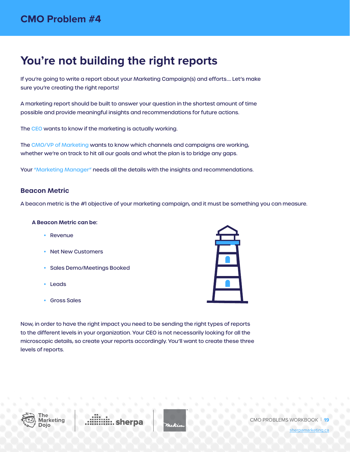## <span id="page-18-0"></span>**You're not building the right reports**

If you're going to write a report about your Marketing Campaign(s) and efforts…. Let's make sure you're creating the right reports!

A marketing report should be built to answer your question in the shortest amount of time possible and provide meaningful insights and recommendations for future actions.

The CEO wants to know if the marketing is actually working.

The CMO/VP of Marketing wants to know which channels and campaigns are working, whether we're on track to hit all our goals and what the plan is to bridge any gaps.

Your "Marketing Manager" needs all the details with the insights and recommendations.

#### **Beacon Metric**

A beacon metric is the #1 objective of your marketing campaign, and it must be something you can measure.

#### **A Beacon Metric can be:**

- Revenue
- **Net New Customers**
- Sales Demo/Meetings Booked
- Leads
- Gross Sales

Now, in order to have the right impact you need to be sending the right types of reports to the different levels in your organization. Your CEO is not necessarily looking for all the microscopic details, so create your reports accordingly. You'll want to create these three levels of reports.



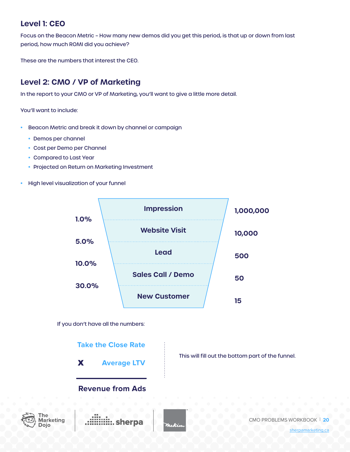### **Level 1: CEO**

Focus on the Beacon Metric – How many new demos did you get this period, is that up or down from last period, how much ROMI did you achieve?

These are the numbers that interest the CEO.

## **Level 2: CMO / VP of Marketing**

In the report to your CMO or VP of Marketing, you'll want to give a little more detail.

You'll want to include:

⊺he

Doio

- Beacon Metric and break it down by channel or campaign
	- Demos per channel
	- Cost per Demo per Channel
	- Compared to Last Year
	- Projected on Return on Marketing Investment
- High level visualization of your funnel



If you don't have all the numbers:



[sherpamarketing.ca](https://www.sherpamarketing.ca/)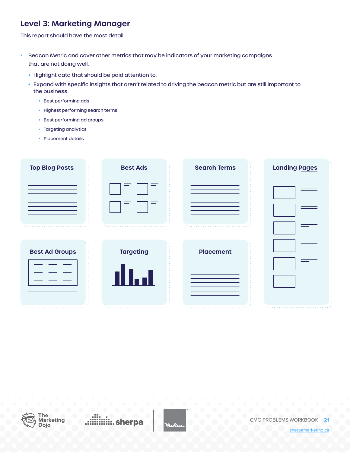### **Level 3: Marketing Manager**

This report should have the most detail.

- Beacon Metric and cover other metrics that may be indicators of your marketing campaigns that are not doing well.
	- Highlight data that should be paid attention to.
	- Expand with specific insights that aren't related to driving the beacon metric but are still important to the business.
		- Best performing ads
		- Highest performing search terms
		- Best performing ad groups
		- Targeting analytics
		- Placement details

| <b>Top Blog Posts</b> | <b>Best Ads</b>  | <b>Search Terms</b> | <b>Landing Pages</b> |
|-----------------------|------------------|---------------------|----------------------|
|                       |                  |                     |                      |
| <b>Best Ad Groups</b> | <b>Targeting</b> | <b>Placement</b>    |                      |



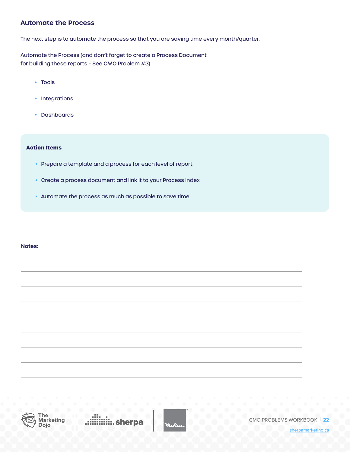#### **Automate the Process**

The next step is to automate the process so that you are saving time every month/quarter.

Automate the Process (and don't forget to create a Process Document for building these reports – See CMO Problem #3)

- Tools
- Integrations
- Dashboards

#### **Action Items**

- Prepare a template and a process for each level of report
- Create a process document and link it to your Process Index
- Automate the process as much as possible to save time

#### **Notes:**



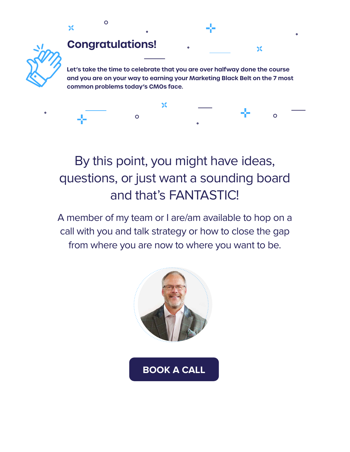

 $\overline{O}$ 

## By this point, you might have ideas, questions, or just want a sounding board and that's FANTASTIC!

 $\circ$ 

A member of my team or I are/am available to hop on a call with you and talk strategy or how to close the gap from where you are now to where you want to be.

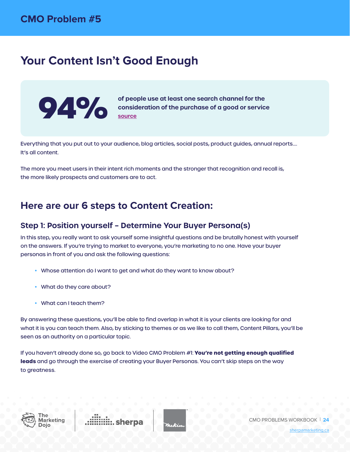## <span id="page-23-0"></span>**Your Content Isn't Good Enough**



**of people use at least one search channel for the expansideration** of the purchase of a good or service [source](https://www.catalystdigital.com/forrester-sem-social-media-marketing-success/))

Everything that you put out to your audience, blog articles, social posts, product guides, annual reports…. It's all content.

The more you meet users in their intent rich moments and the stronger that recognition and recall is, the more likely prospects and customers are to act.

## **Here are our 6 steps to Content Creation:**

### **Step 1: Position yourself – Determine Your Buyer Persona(s)**

In this step, you really want to ask yourself some insightful questions and be brutally honest with yourself on the answers. If you're trying to market to everyone, you're marketing to no one. Have your buyer personas in front of you and ask the following questions:

- Whose attention do I want to get and what do they want to know about?
- What do they care about?
- What can I teach them?

By answering these questions, you'll be able to find overlap in what it is your clients are looking for and what it is you can teach them. Also, by sticking to themes or as we like to call them, Content Pillars, you'll be seen as an authority on a particular topic.

If you haven't already done so, go back to Video CMO Problem #1: **You're not getting enough qualified leads** and go through the exercise of creating your Buyer Personas. You can't skip steps on the way to greatness.



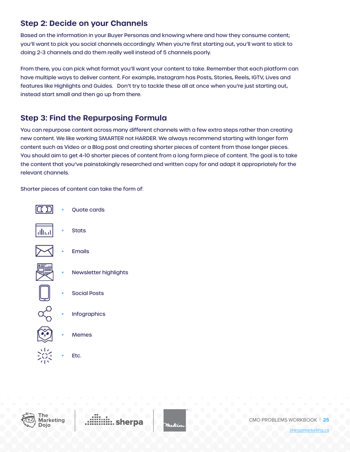## **Step 2: Decide on your Channels**

Based on the information in your Buyer Personas and knowing where and how they consume content; you'll want to pick you social channels accordingly. When you're first starting out, you'll want to stick to doing 2-3 channels and do them really well instead of 5 channels poorly.

From there, you can pick what format you'll want your content to take. Remember that each platform can have multiple ways to deliver content. For example, Instagram has Posts, Stories, Reels, IGTV, Lives and features like Highlights and Guides. Don't try to tackle these all at once when you're just starting out, instead start small and then go up from there.

## **Step 3: Find the Repurposing Formula**

You can repurpose content across many different channels with a few extra steps rather than creating new content. We like working SMARTER not HARDER. We always recommend starting with longer form content such as Video or a Blog post and creating shorter pieces of content from those longer pieces. You should aim to get 4-10 shorter pieces of content from a long form piece of content. The goal is to take the content that you've painstakingly researched and written copy for and adapt it appropriately for the relevant channels.

Shorter pieces of content can take the form of:





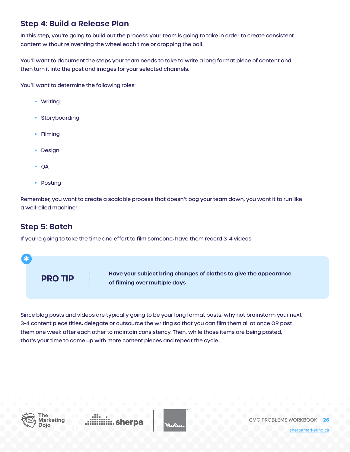## **Step 4: Build a Release Plan**

In this step, you're going to build out the process your team is going to take in order to create consistent content without reinventing the wheel each time or dropping the ball.

You'll want to document the steps your team needs to take to write a long format piece of content and then turn it into the post and images for your selected channels.

You'll want to determine the following roles:

- Writing
- Storyboarding
- Filming
- **Design**
- QA
- Posting

Remember, you want to create a scalable process that doesn't bog your team down, you want it to run like a well-oiled machine!

### **Step 5: Batch**

If you're going to take the time and effort to film someone, have them record 3-4 videos.



Since blog posts and videos are typically going to be your long format posts, why not brainstorm your next 3-4 content piece titles, delegate or outsource the writing so that you can film them all at once OR post them one week after each other to maintain consistency. Then, while those items are being posted, that's your time to come up with more content pieces and repeat the cycle.



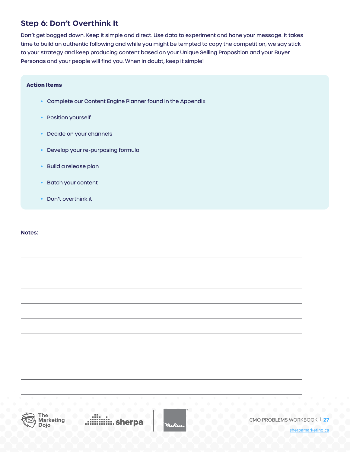## **Step 6: Don't Overthink It**

Don't get bogged down. Keep it simple and direct. Use data to experiment and hone your message. It takes time to build an authentic following and while you might be tempted to copy the competition, we say stick to your strategy and keep producing content based on your Unique Selling Proposition and your Buyer Personas and your people will find you. When in doubt, keep it simple!

#### **Action Items**

- Complete our Content Engine Planner found in the Appendix
- Position yourself
- Decide on your channels
- Develop your re-purposing formula
- Build a release plan
- Batch your content
- Don't overthink it

#### **Notes:**



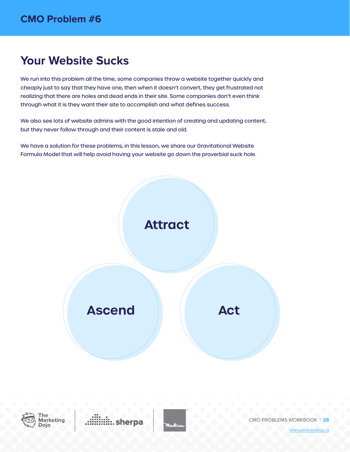## <span id="page-27-0"></span>**Your Website Sucks**

We run into this problem all the time, some companies throw a website together quickly and cheaply just to say that they have one, then when it doesn't convert, they get frustrated not realizing that there are holes and dead ends in their site. Some companies don't even think through what it is they want their site to accomplish and what defines success.

We also see lots of website admins with the good intention of creating and updating content, but they never follow through and their content is stale and old.

We have a solution for these problems, in this lesson, we share our Gravitational Website Formula Model that will help avoid having your website go down the proverbial suck hole.





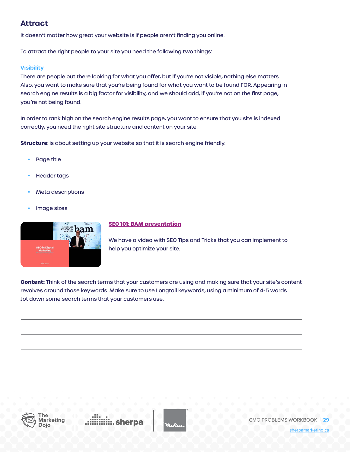### **Attract**

It doesn't matter how great your website is if people aren't finding you online.

To attract the right people to your site you need the following two things:

#### **Visibility**

There are people out there looking for what you offer, but if you're not visible, nothing else matters. Also, you want to make sure that you're being found for what you want to be found FOR. Appearing in search engine results is a big factor for visibility, and we should add, if you're not on the first page, you're not being found.

In order to rank high on the search engine results page, you want to ensure that you site is indexed correctly, you need the right site structure and content on your site.

**Structure**: is about setting up your website so that it is search engine friendly.

- Page title
- **Header tags**
- **Meta descriptions**
- Image sizes



#### **[SEO 101: BAM presentation](https://youtu.be/OhO7ArkW0hk)**

We have a video with SEO Tips and Tricks that you can implement to help you optimize your site.

**Content:** Think of the search terms that your customers are using and making sure that your site's content revolves around those keywords. Make sure to use Longtail keywords, using a minimum of 4-5 words. Jot down some search terms that your customers use.



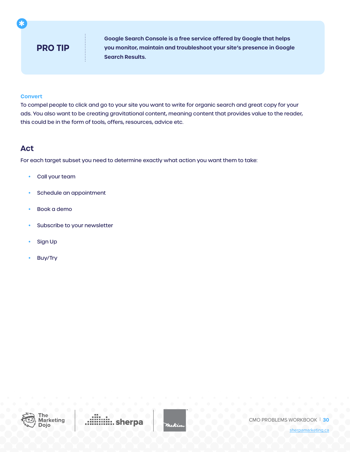## **PRO TIP**

**Google Search Console is a free service offered by Google that helps you monitor, maintain and troubleshoot your site's presence in Google Search Results.**

#### **Convert**

**\***

To compel people to click and go to your site you want to write for organic search and great copy for your ads. You also want to be creating gravitational content, meaning content that provides value to the reader, this could be in the form of tools, offers, resources, advice etc.

#### **Act**

For each target subset you need to determine exactly what action you want them to take:

- Call your team
- Schedule an appointment
- Book a demo
- Subscribe to your newsletter
- Sign Up
- Buy/Try



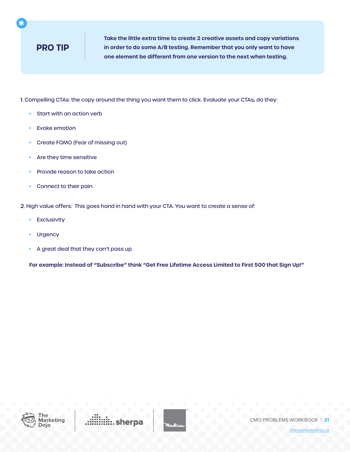## **PRO TIP**

**\***

**Take the little extra time to create 2 creative assets and copy variations in order to do some A/B testing. Remember that you only want to have one element be different from one version to the next when testing.**

1. Compelling CTAs: the copy around the thing you want them to click. Evaluate your CTAs, do they:

- Start with an action verb
- **Evoke emotion**
- Create FOMO (Fear of missing out)
- Are they time sensitive
- Provide reason to take action
- Connect to their pain

2. High value offers: This goes hand in hand with your CTA. You want to create a sense of:

- Exclusivity
- Urgency
- A great deal that they can't pass up.

**For example: Instead of "Subscribe" think "Get Free Lifetime Access Limited to First 500 that Sign Up!"**



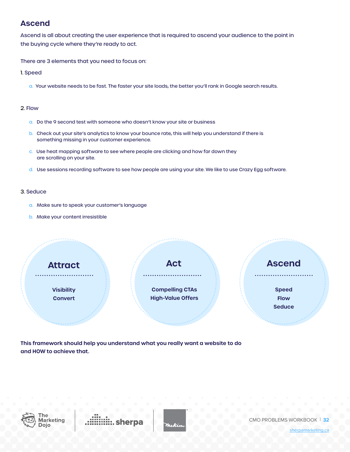### **Ascend**

Ascend is all about creating the user experience that is required to ascend your audience to the point in the buying cycle where they're ready to act.

There are 3 elements that you need to focus on:

1. Speed

a. Your website needs to be fast. The faster your site loads, the better you'll rank in Google search results.

#### 2. Flow

- a. Do the 9 second test with someone who doesn't know your site or business
- b. Check out your site's analytics to know your bounce rate, this will help you understand if there is something missing in your customer experience.
- c. Use heat mapping software to see where people are clicking and how far down they are scrolling on your site.
- d. Use sessions recording software to see how people are using your site. We like to use Crazy Egg software.

#### 3. Seduce

- a. Make sure to speak your customer's language
- b. Make your content irresistible



**This framework should help you understand what you really want a website to do and HOW to achieve that.** 



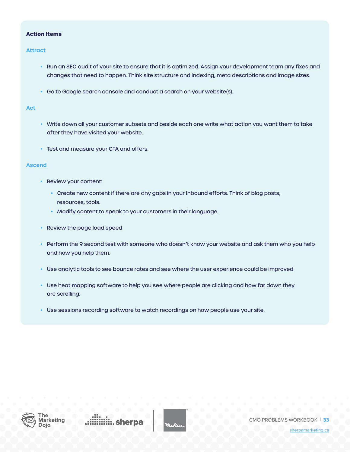#### **Action Items**

#### **Attract**

- Run an SEO audit of your site to ensure that it is optimized. Assign your development team any fixes and changes that need to happen. Think site structure and indexing, meta descriptions and image sizes.
- Go to Google search console and conduct a search on your website(s).

#### **Act**

- Write down all your customer subsets and beside each one write what action you want them to take after they have visited your website.
- Test and measure your CTA and offers.

#### **Ascend**

- Review your content:
	- Create new content if there are any gaps in your Inbound efforts. Think of blog posts, resources, tools.
	- Modify content to speak to your customers in their language.
- Review the page load speed
- Perform the 9 second test with someone who doesn't know your website and ask them who you help and how you help them.
- Use analytic tools to see bounce rates and see where the user experience could be improved
- Use heat mapping software to help you see where people are clicking and how far down they are scrolling.
- Use sessions recording software to watch recordings on how people use your site.



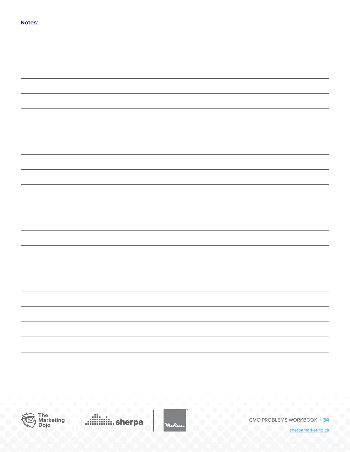| ×<br>v.<br>۰.<br>٧<br>٧<br>۰, |
|-------------------------------|
|-------------------------------|



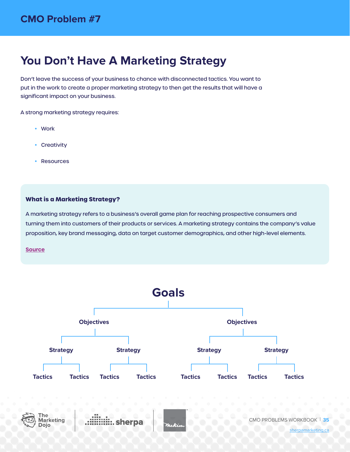## <span id="page-34-0"></span>**You Don't Have A Marketing Strategy**

Don't leave the success of your business to chance with disconnected tactics. You want to put in the work to create a proper marketing strategy to then get the results that will have a significant impact on your business.

A strong marketing strategy requires:

- Work
- Creativity
- **Resources**

#### **What is a Marketing Strategy?**

A marketing strategy refers to a business's overall game plan for reaching prospective consumers and turning them into customers of their products or services. A marketing strategy contains the company's value proposition, key brand messaging, data on target customer demographics, and other high-level elements.

#### **[Source](http://investopedia.com/terms/m/marketing-strategy.asp)**

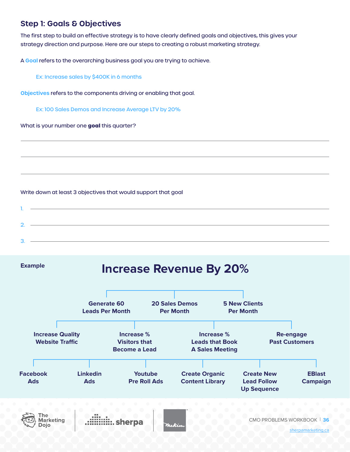## **Step 1: Goals & Objectives**

The first step to build an effective strategy is to have clearly defined goals and objectives, this gives your strategy direction and purpose. Here are our steps to creating a robust marketing strategy.

A **Goal** refers to the overarching business goal you are trying to achieve.

Ex: Increase sales by \$400K in 6 months

**Objectives** refers to the components driving or enabling that goal.

Ex: 100 Sales Demos and Increase Average LTV by 20%

What is your number one **goal** this quarter?

#### Write down at least 3 objectives that would support that goal

| . |  |
|---|--|
|   |  |
| 3 |  |

**Example**

Dojo

## **Increase Revenue By 20%**

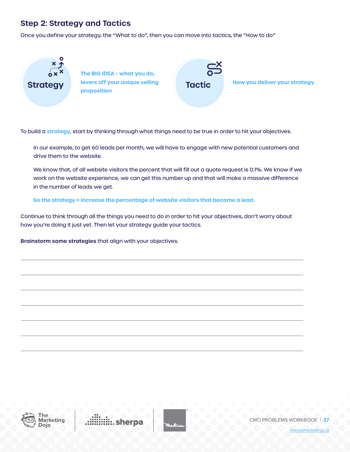## **Step 2: Strategy and Tactics**

Once you define your strategy, the "What to do", then you can move into tactics, the "How to do"



**The BIG IDEA – what you do, levers off your unique selling proposition Strategy Tactic**

**How you deliver your strategy**

To build a **strategy,** start by thinking through what things need to be true in order to hit your objectives.

In our example, to get 60 leads per month, we will have to engage with new potential customers and drive them to the website.

We know that, of all website visitors the percent that will fill out a quote request is 0.1%. We know if we work on the website experience, we can get this number up and that will make a massive difference in the number of leads we get.

**So the strategy = Increase the percentage of website visitors that become a lead.**

Continue to think through all the things you need to do in order to hit your objectives, don't worry about how you're doing it just yet. Then let your strategy guide your tactics.

**Brainstorm some strategies** that align with your objectives.



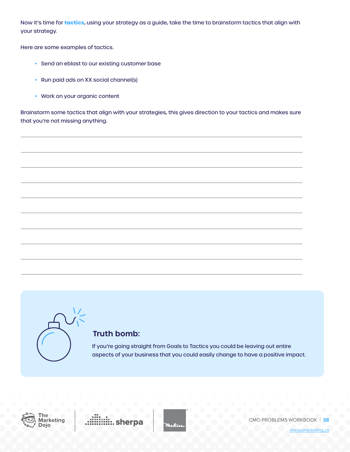Now it's time for **tactics**, using your strategy as a guide, take the time to brainstorm tactics that align with your strategy.

Here are some examples of tactics.

- Send an eblast to our existing customer base
- Run paid ads on XX social channel(s)
- Work on your organic content

Brainstorm some tactics that align with your strategies, this gives direction to your tactics and makes sure that you're not missing anything.



### **Truth bomb:**

If you're going straight from Goals to Tactics you could be leaving out entire aspects of your business that you could easily change to have a positive impact.





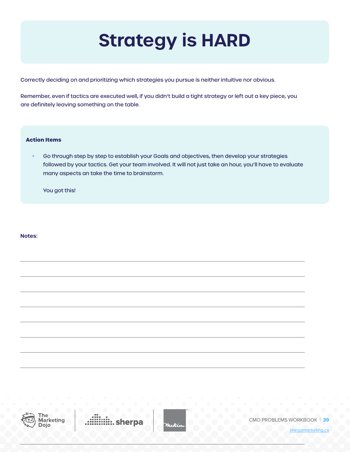# **Strategy is HARD**

Correctly deciding on and prioritizing which strategies you pursue is neither intuitive nor obvious.

Remember, even if tactics are executed well, if you didn't build a tight strategy or left out a key piece, you are definitely leaving something on the table.

#### **Action Items**

• Go through step by step to establish your Goals and objectives, then develop your strategies followed by your tactics. Get your team involved. It will not just take an hour, you'll have to evaluate many aspects an take the time to brainstorm.

You got this!

**Notes:** 



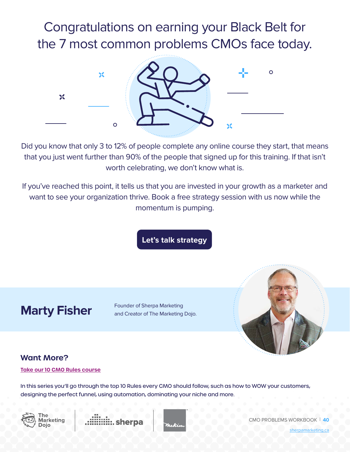## Congratulations on earning your Black Belt for the 7 most common problems CMOs face today.



Did you know that only 3 to 12% of people complete any online course they start, that means that you just went further than 90% of the people that signed up for this training. If that isn't worth celebrating, we don't know what is.

If you've reached this point, it tells us that you are invested in your growth as a marketer and want to see your organization thrive. Book a free strategy session with us now while the momentum is pumping.

**[Let's talk strategy](http://sherpamarketing.ca/strategy-session)**

## **Marty Fisher Founder of Sherpa Marketing**<br>and Creator of The Marketing

and Creator of The Marketing Dojo.



## **Want More?**

#### **[Take our 10 CMO Rules course](https://www.sherpamarketing.ca/dojo/the-rules)**

In this series you'll go through the top 10 Rules every CMO should follow, such as how to WOW your customers, designing the perfect funnel, using automation, dominating your niche and more.







CMO PROBLEMS WORKBOOK | **40**

[sherpamarketing.ca](https://www.sherpamarketing.ca/)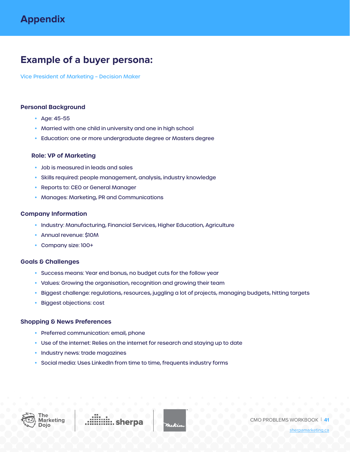## <span id="page-40-0"></span>**Example of a buyer persona:**

Vice President of Marketing – Decision Maker

#### **Personal Background**

- Age: 45-55
- Married with one child in university and one in high school
- Education: one or more undergraduate degree or Masters degree

#### **Role: VP of Marketing**

- Job is measured in leads and sales
- Skills required: people management, analysis, industry knowledge
- Reports to: CEO or General Manager
- Manages: Marketing, PR and Communications

#### **Company Information**

- Industry: Manufacturing, Financial Services, Higher Education, Agriculture
- Annual revenue: \$10M
- Company size: 100+

#### **Goals & Challenges**

- Success means: Year end bonus, no budget cuts for the follow year
- Values: Growing the organisation, recognition and growing their team
- Biggest challenge: regulations, resources, juggling a lot of projects, managing budgets, hitting targets
- Biggest objections: cost

#### **Shopping & News Preferences**

- Preferred communication: email, phone
- Use of the internet: Relies on the internet for research and staying up to date
- Industry news: trade magazines
- Social media: Uses LinkedIn from time to time, frequents industry forms



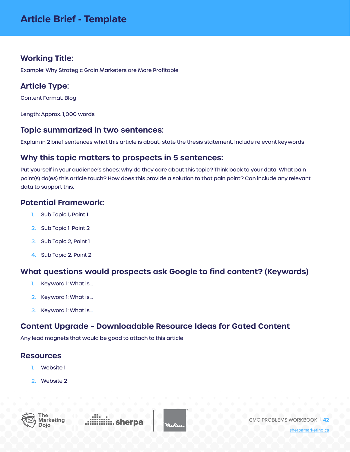## <span id="page-41-0"></span>**Working Title:**

Example: Why Strategic Grain Marketers are More Profitable

## **Article Type:**

Content Format: Blog

Length: Approx. 1,000 words

#### **Topic summarized in two sentences:**

Explain in 2 brief sentences what this article is about; state the thesis statement. Include relevant keywords

### **Why this topic matters to prospects in 5 sentences:**

Put yourself in your audience's shoes: why do they care about this topic? Think back to your data. What pain point(s) do(es) this article touch? How does this provide a solution to that pain point? Can include any relevant data to support this.

#### **Potential Framework:**

- 1. Sub Topic 1, Point 1
- 2. Sub Topic 1. Point 2
- 3. Sub Topic 2, Point 1
- 4. Sub Topic 2, Point 2

#### **What questions would prospects ask Google to find content? (Keywords)**

- 1. Keyword 1: What is...
- 2. Keyword 1: What is...
- 3. Keyword 1: What is...

### **Content Upgrade – Downloadable Resource Ideas for Gated Content**

Any lead magnets that would be good to attach to this article

#### **Resources**

- 1. Website 1
- 2. Website 2



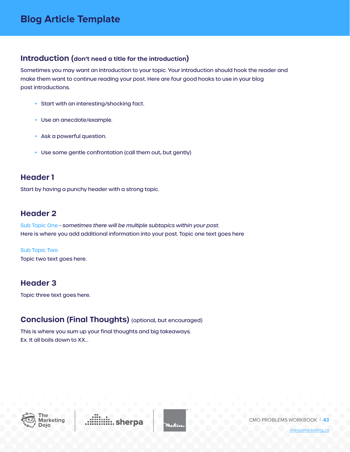#### <span id="page-42-0"></span>**Introduction (don't need a title for the introduction)**

Sometimes you may want an Introduction to your topic. Your introduction should hook the reader and make them want to continue reading your post. Here are four good hooks to use in your blog post introductions.

- Start with an interesting/shocking fact.
- Use an anecdote/example.
- Ask a powerful question.
- Use some gentle confrontation (call them out, but gently)

### **Header 1**

Start by having a punchy header with a strong topic.

### **Header 2**

Sub Topic One - *sometimes there will be multiple subtopics within your post.* Here is where you add additional information into your post. Topic one text goes here

Sub Topic Two Topic two text goes here.

### **Header 3**

Topic three text goes here.

## **Conclusion (Final Thoughts)** (optional, but encouraged)

This is where you sum up your final thoughts and big takeaways. Ex. It all boils down to XX...